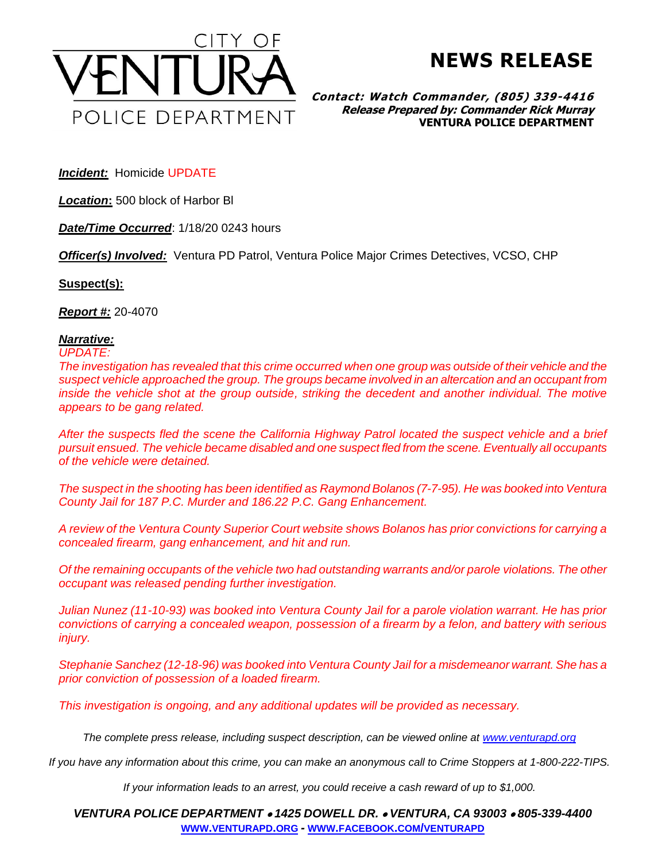

**NEWS RELEASE**

**Contact: Watch Commander, (805) 339-4416 Release Prepared by: Commander Rick Murray VENTURA POLICE DEPARTMENT**

*Incident:* Homicide UPDATE

*Location***:** 500 block of Harbor Bl

*Date/Time Occurred*: 1/18/20 0243 hours

*Officer(s) Involved:* Ventura PD Patrol, Ventura Police Major Crimes Detectives, VCSO, CHP

## **Suspect(s):**

*Report #:* 20-4070

## *Narrative:*

## *UPDATE:*

*The investigation has revealed that this crime occurred when one group was outside of their vehicle and the suspect vehicle approached the group. The groups became involved in an altercation and an occupant from inside the vehicle shot at the group outside, striking the decedent and another individual. The motive appears to be gang related.*

*After the suspects fled the scene the California Highway Patrol located the suspect vehicle and a brief pursuit ensued. The vehicle became disabled and one suspect fled from the scene. Eventually all occupants of the vehicle were detained.*

*The suspect in the shooting has been identified as Raymond Bolanos (7-7-95). He was booked into Ventura County Jail for 187 P.C. Murder and 186.22 P.C. Gang Enhancement.*

*A review of the Ventura County Superior Court website shows Bolanos has prior convictions for carrying a concealed firearm, gang enhancement, and hit and run.*

*Of the remaining occupants of the vehicle two had outstanding warrants and/or parole violations. The other occupant was released pending further investigation.*

*Julian Nunez (11-10-93) was booked into Ventura County Jail for a parole violation warrant. He has prior convictions of carrying a concealed weapon, possession of a firearm by a felon, and battery with serious injury.*

*Stephanie Sanchez (12-18-96) was booked into Ventura County Jail for a misdemeanor warrant. She has a prior conviction of possession of a loaded firearm.*

*This investigation is ongoing, and any additional updates will be provided as necessary.*

*The complete press release, including suspect description, can be viewed online at [www.venturapd.org](http://www.venturapd.org/)*

*If you have any information about this crime, you can make an anonymous call to Crime Stoppers at 1-800-222-TIPS.*

*If your information leads to an arrest, you could receive a cash reward of up to \$1,000.*

*VENTURA POLICE DEPARTMENT* • *1425 DOWELL DR.* • *VENTURA, CA 93003* • *805-339-4400* **WWW.[VENTURAPD](http://www.venturapd.org/).ORG** *-* **WWW.FACEBOOK.COM/[VENTURAPD](http://www.facebook.com/venturapd)**